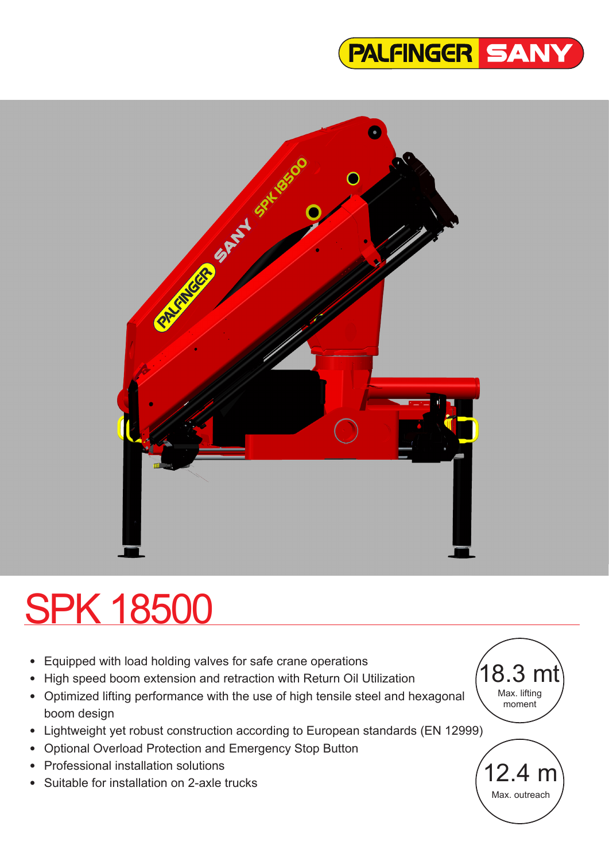



# SPK 18500

- Equipped with load holding valves for safe crane operations
- High speed boom extension and retraction with Return Oil Utilization
- Optimized lifting performance with the use of high tensile steel and hexagonal boom design
- Lightweight yet robust construction according to European standards (EN 12999)
- Optional Overload Protection and Emergency Stop Button
- Professional installation solutions
- Suitable for installation on 2-axle trucks

 $^{\prime}$ 18.3 mt Max. lifting moment

12.4 m Max. outreach